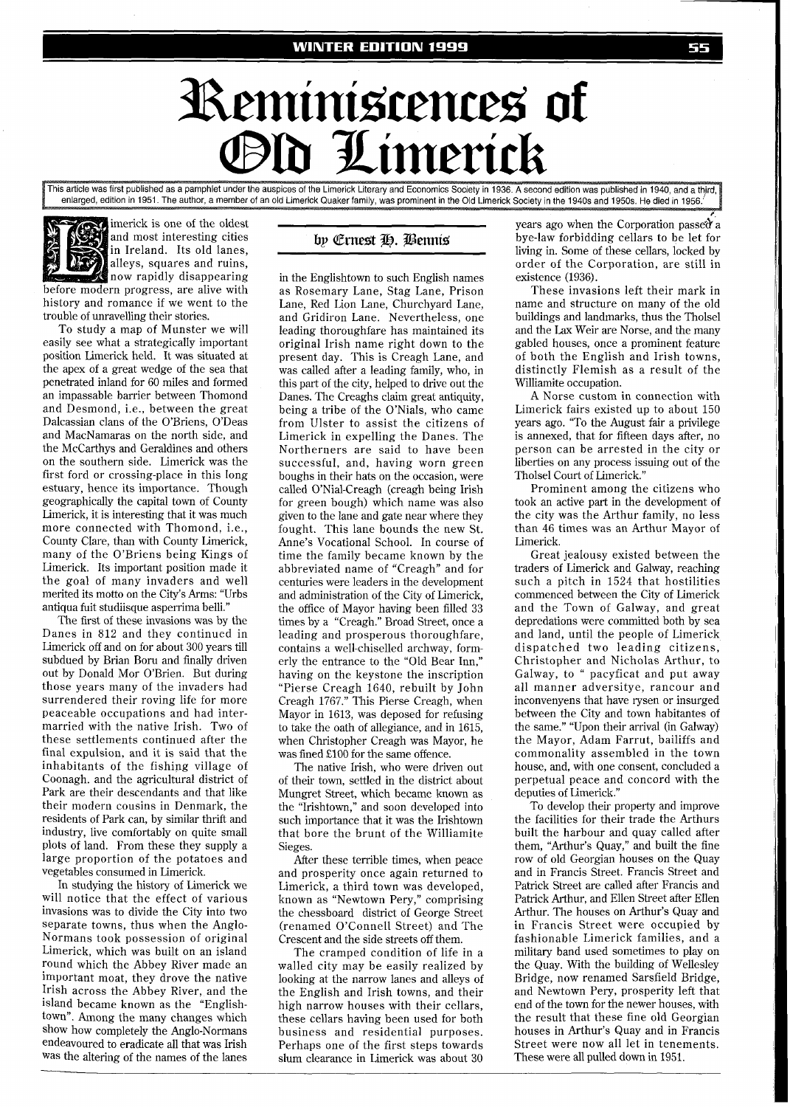## Reminiscences of d Limerick

This article was first published as a pamphlet under the auspices of the Limerick Literary and Economics Society in 1936. A second edition was published in 1940, and a third, enlarged, edition in 1951. The author, a member of an old Limerick Quaker family, was prominent in the Old Limerick Society in the 1940s and 1950s. He died in 1956.



and most interesting cities in Ireland. Its old lanes, alleys, squares and ruins, now rapidly disappearing before modern progress, are alive with history and romance if we went to the trouble of unravelling their stories.

To study a map of Munster we will easily see what a strategically important position Limerick held. It was situated at the apex of a great wedge of the sea that penetrated inland for 60 miles and formed an impassable barrier between Thomond and Desmond, i.e., between the great Dalcassian clans of the O'Briens, O'Deas and MacNamaras on the north side, and the McCarthys and Geraldines and others on the southern side. Limerick was the first ford or crossing-place in this long estuary, hence its importance. Though geographically the capital town of County Limerick, it is interesting that it was much more connected with Thomond, i.e., County Clare, than with County Limerick, many of the O'Briens being Kings of Limerick. Its important position made it the goal of many invaders and well merited its motto on the City's Arms: "Urbs antiqua hit studiisque asperrima belli."

The first of these invasions was by the Danes in 812 and they continued in Limerick off and on for about 300 years till subdued by Brian Boru and finally driven out by Donald Mor O'Brien. But during those years many of the invaders had surrendered their roving life for more peaceable occupations and had intermarried with the native Irish. Two of these settlements continued after the final expulsion, and it is said that the inhabitants of the fishing village of Coonagh. and the agricultural district of Park are their descendants and that like their modern cousins in Denmark, the residents of Park can, by similar thrift and industry, live comfortably on quite small plots of land. From these they supply a large proportion of the potatoes and vegetables consumed in Limerick.

In studying the history of Limerick we will notice that the effect of various invasions was to divide the City into two separate towns, thus when the Anglo-Normans took possession of original Limerick, which was built on an island round which the Abbey River made an important moat, they drove the native Irish across the Abbey River, and the island became known as the "Englishtown". Among the many changes which show how completely the Anglo-Normans endeavoured to eradicate all that was Irish was the altering of the names of the lanes

## by Ernest H. Bennis

in the Englishtown to such English names as Rosemary Lane, Stag Lane, Prison Lane, Red Lion Lane, Churchyard Lane, and Gridiron Lane. Nevertheless, one leading thoroughfare has maintained its original Irish name right down to the present day. This is Creagh Lane, and was called after a leading family, who, in this part of the city, helped to drive out the Danes. The Creaghs claim great antiquity, being a tribe of the O'Nials, who came from Ulster to assist the citizens of Limerick in expelling the Danes. The Northerners are said to have been successful, and, having worn green boughs in their hats on the occasion, were called O'Nial-Creagh (creagh being Irish for green bough) which name was also given to the lane and gate near where they fought. This lane bounds the new St. Anne's Vocational School. In course of time the family became known by the abbreviated name of "Creagh" and for centuries were leaders in the development and administration of the City of Limerick, the office of Mayor having been filled 33 times by a "Creagh." Broad Street, once a leading and prosperous thoroughfare, contains a well-chiselled archway, formerly the entrance to the "Old Bear Inn," having on the keystone the inscription "Pierse Creagh 1640, rebuilt by John Creagh 1767." This Pierse Creagh, when Mayor in 1613, was deposed for refusing to take the oath of allegiance, and in 1615, when Christopher Creagh was Mayor, he was fined £100 for the same offence.

The native Irish, who were driven out of their town, settled in the district about Mungret Street, which became known as the "Irishtown," and soon developed into such importance that it was the Irishtown that bore the brunt of the Williamite Sieges.

After these terrible times, when peace and prosperity once again returned to Limerick, a third town was developed, known as "Newtown Pery," comprising the chessboard district of George Street (renamed O'Connell Street) and The Crescent and the side streets off them.

The cramped condition of life in a walled city may be easily realized by looking at the narrow lanes and alleys of the English and Irish towns, and their high narrow houses with their cellars, these cellars having been used for both business and residential purposes. Perhaps one of the first steps towards slum clearance in Limerick was about 30

years ago when the Corporation passed a bye-law forbidding cellars to be let for living in. Some of these cellars, locked by order of the Corporation, are still in existence (1936).

These invasions left their mark in name and structure on many of the old buildings and landmarks, thus the Tholsel and the Lax Weir are Norse, and the many gabled houses, once a prominent feature of both the English and Irish towns, distinctly Flemish as a result of the Williamite occupation.

A Norse custom in connection with Limerick fairs existed up to about 150 years ago. "To the August fair a privilege is annexed, that for fifteen days after, no person can be arrested in the city or liberties on any process issuing out of the Tholsel Court of Limerick."

Prominent among the citizens who took an active part in the development of the city was the Arthur family, no less than 46 times was an Arthur Mayor of Limerick.

Great jealousy existed between the traders of Limerick and Galway, reaching such a pitch in 1524 that hostilities commenced between the City of Limerick and the Town of Galway, and great depredations were committed both by sea and land, until the people of Limerick dispatched two leading citizens, Christopher and Nicholas Arthur, to Galway, to " pacyficat and put away all manner adversitye, rancour and inconvenyens that have rysen or insurged between the City and town habitantes of the same." "Upon their arrival (in Galway) the Mayor, Adam Farrut, bailiffs and commonality assembled in the town house, and, with one consent, concluded a perpetual peace and concord with the deputies of Limerick."

To develop their property and improve the facilities for their trade the Arthurs built the harbour and quay called after them, "Arthur's Quay," and built the fine row of old Georgian houses on the Quay and in Francis Street. Francis Street and Patrick Street are called after Francis and Patrick Arthur, and Ellen Street after Ellen Arthur. The houses on Arthur's Quay and in Francis Street were occupied by fashionable Limerick families, and a military band used sometimes to play on the Quay. With the building of Wellesley Bridge, now renamed Sarsfield Bridge, and Newtown Pery, prosperity left that end of the town for the newer houses, with the result that these fine old Georgian houses in Arthur's Quay and in Francis Street were now all let in tenements. These were all pulled down in 1951.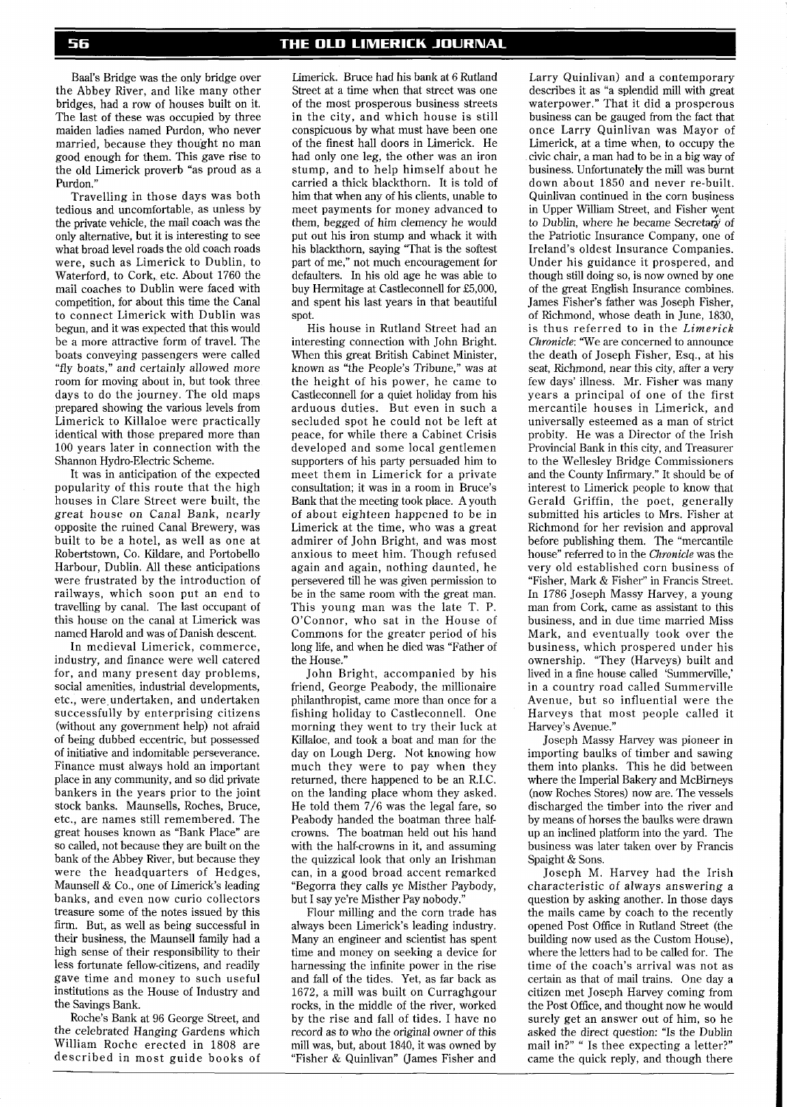Baal's Bridge was the only bridge over the Abbey River, and like many other bridges, had a row of houses built on it. The last of these was occupied by three maiden ladies named Purdon, who never married, because they thought no man good enough for them. This gave rise to the old Limerick proverb "as proud as a Purdon.'

Travelling in those days was both tedious and uncomfortable, as unless by the private vehicle, the mail coach was the only alternative, but it is interesting to see what broad level roads the old coach roads were, such as Limerick to Dublin, to Waterford, to Cork, etc. About 1760 the mail coaches to Dublin were faced with competition, for about this time the Canal to connect Limerick with Dublin was begun, and it was expected that this would be a more attractive form of travel. The boats conveying passengers were called "fly boats," and certainly allowed more room for moving about in, but took three days to do the journey. The old maps prepared showing the various levels from Limerick to Killaloe were practically identical with those prepared more than 100 years later in connection with the Shannon Hydro-Electric Scheme.

It was in anticipation of the expected popularity of this route that the high houses in Clare Street were built, the great house on Canal Bank, nearly opposite the ruined Canal Brewery, was built to be a hotel, as well as one at Robertstown, Co. Kildare, and Portobello Harbour, Dublin. All these anticipations were frustrated by the introduction of railways, which soon put an end to travelling by canal. The last occupant of this house on the canal at Limerick was named Harold and was of Danish descent.

In medieval Limerick, commerce, industry, and finance were well catered for, and many present day problems, social amenities, industrial developments, etc., were undertaken, and undertaken successfully by enterprising citizens (without any government help) not afraid of being dubbed eccentric, but possessed of initiative and indomitable perseverance. Finance must always hold an important place in any community, and so did private bankers in the years prior to the joint stock banks. Maunsells, Roches, Bruce, etc., are names still remembered. The great houses known as "Bank Place" are so called, not because they are built on the bank of the Abbey River, but because they were the headquarters of Hedges, Maunsell & Co., one of Limerick's leading banks, and even now curio collectors treasure some of the notes issued by this firm. But, as well as being successful in their business, the Maunsell family had a high sense of their responsibility to their less fortunate fellow-citizens, and readily gave time and money to such useful institutions as the House of Industry and the Savings Bank.

Roche's Bank at 96 George Street, and the celebrated Hanging Gardens which William Roche erected in 1808 are described in most guide books of

Limerick. Bruce had his bank at 6 Rutland Street at a time when that street was one of the most prosperous business streets in the city, and which house is still conspicuous by what must have been one of the finest hall doors in Limerick. He had only one leg, the other was an iron stump, and to help himself about he carried a thick blackthorn. It is told of him that when any of his clients, unable to meet payments for money advanced to them, begged of him clemency he would put out his iron stump and whack it with his blackthorn, saying "That is the softest part of me," not much encouragement for defaulters. In his old age he was able to buy Hermitage at Castleconnell for £5,000, and spent his last years in that beautiful spot.

His house in Rutland Street had an interesting connection with John Bright. When this great British Cabinet Minister, known as "the People's Tribune," was at the height of his power, he came to Castleconnell for a quiet holiday from his arduous duties. But even in such a secluded spot he could not be left at peace, for while there a Cabinet Crisis developed and some local gentlemen supporters of his party persuaded him to meet them in Limerick for a private consultation; it was in a room in Bruce's Bank that the meeting took place. A youth of about eighteen happened to be in Limerick at the time, who was a great admirer of John Bright, and was most anxious to meet him. Though refused again and again, nothing daunted, he persevered till he was given permission to be in the same room with the great man. This young man was the late T. P. O'Connor, who sat in the House of Commons for the greater period of his long life, and when he died was "Father of the House."

John Bright, accompanied by his friend, George Peabody, the millionaire philanthropist, came more than once for a fishing holiday to Castleconnell. One morning they went to try their luck at Killaloe, and took a boat and man for the day on Lough Derg. Not knowing how much they were to pay when they returned, there happened to be an R.I.C. on the landing place whom they asked. He told them 7/6 was the legal fare, so Peabody handed the boatman three halfcrowns. The boatman held out his hand with the half-crowns in it, and assuming the quizzical look that only an Irishman can, in a good broad accent remarked "Begorra they calls ye Misther Paybody, but I say ye're Misther Pay nobody.

Flour milling and the corn trade has always been Limerick's leading industry. Many an engineer and scientist has spent time and money on seeking a device for harnessing the infinite power in the rise and fall of the tides. Yet, as far back as 1672, a mill was built on Curraghgour rocks, in the middle of the river, worked by the rise and fall of tides. I have no record as to who the original owner of this mill was, but, about 1840, it was owned by "Fisher & Quinlivan" Uames Fisher and

Larry Quinlivan) and a contemporary describes it as "a splendid mill with great waterpower." That it did a prosperous business can be gauged from the fact that once Larry Quinlivan was Mayor of Limerick, at a time when, to occupy the civic chair, a man had to be in a big way of business. Unfortunately the mill was burnt down about 1850 and never re-built. Quinlivan continued in the corn business in Upper William Street, and Fisher yent to Dublin, where he became Secretary of the Patriotic Insurance Company, one of Ireland's oldest Insurance Companies. Under his guidance it prospered, and though still doing so, is now owned by one of the great English Insurance combines. James Fisher's father was Joseph Fisher, of Richmond, whose death in June, 1830, is thus referred to in the *Limerick Chronicle:* 'We are concerned to announce the death of Joseph Fisher, Esq., at his seat, Richmond, near this city, after a very few days' illness. Mr. Fisher was many years a principal of one of the first mercantile houses in Limerick, and universally esteemed as a man of strict probity. He was a Director of the Irish Provincial Bank in this city, and Treasurer to the Wellesley Bridge Commissioners and the County Infirmary." It should be of interest to Limerick people to know that Gerald Griffin, the poet, generally submitted his articles to Mrs. Fisher at Richmond for her revision and approval before publishing them. The "mercantile house" referred to in the *Chronicle* was the very old established corn business of "Fisher, Mark & Fisher" in Francis Street. In 1786 Joseph Massy Harvey, a young man from Cork, came as assistant to this business, and in due time married Miss Mark, and eventually took over the business, which prospered under his ownership. "They (Harveys) built and lived in a fine house called 'Summerville,' in a country road called Summerville Avenue, but so influential were the Harveys that most people called it Harvey's Avenue."

Joseph Massy Harvey was pioneer in importing baulks of timber and sawing them into planks. This he did between where the Imperial Bakery and McBirneys (now Roches Stores) now are. The vessels discharged the timber into the river and by means of horses the baulks were drawn up an inclined platform into the yard. The business was later taken over by Francis Spaight & Sons.

Joseph M. Harvey had the Irish characteristic of always answering a question by asking another. In those days the mails came by coach to the recently opened Post Office in Rutland Street (the building now used as the Custom House), where the letters had to be called for. The time of the coach's arrival was not as certain as that of mail trains. One day a citizen met Joseph Hawey coming from the Post Office, and thought now he would surely get an answer out of him, so he asked the direct question: "Is the Dublin mail in?" " Is thee expecting a letter?" came the quick reply, and though there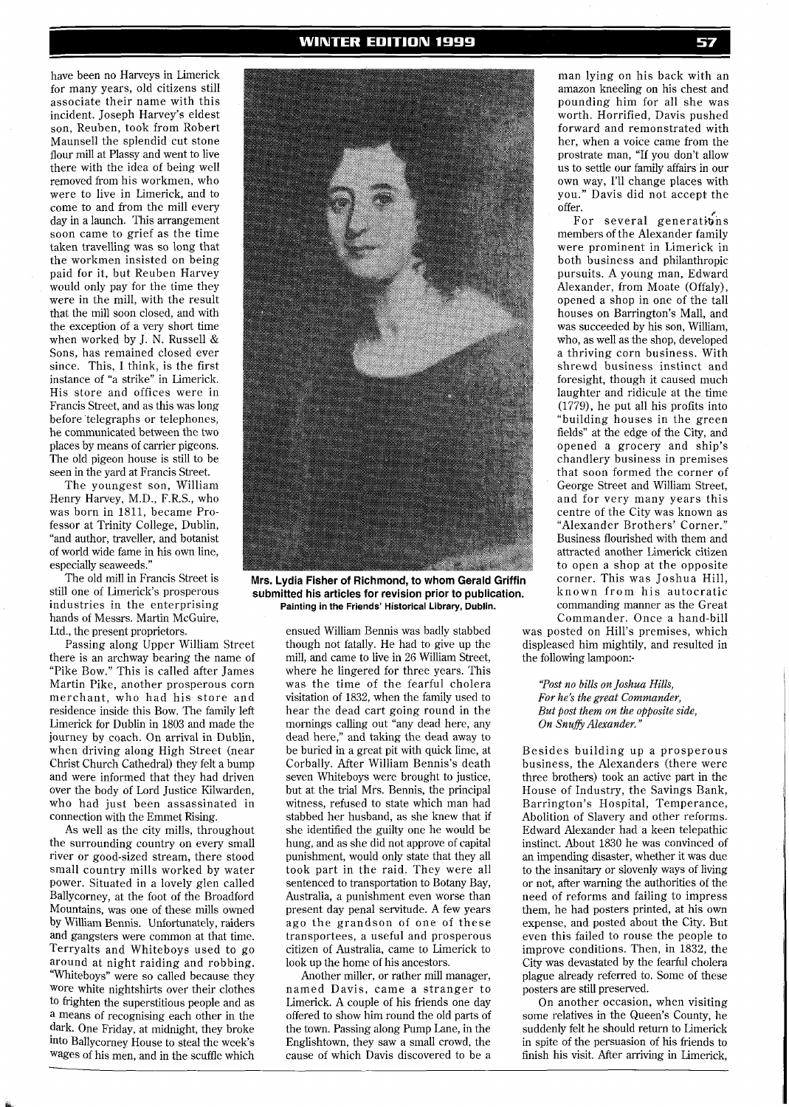have been no Harveys in Limerick for many years, old citizens still associate their name with this incident. Joseph Harvey's eldest son, Reuben, took from Robert Maunsell the splendid cut stone flour mill at Plassy and went to live there with the idea of being well removed from his workmen, who were to live in Limerick, and to come to and from the mill every day in a launch. This arrangement soon came to grief as the time taken travelling was so long that the workmen insisted on being paid for it, but Reuben Harvey would only pay for the time they were in the mill, with the result that the mill soon closed, and with the exception of a very short time when worked by J. N. Russell & Sons, has remained closed ever since. This, I think, is the first instance of "a strike" in Limerick. His store and offices were in Francis Street, and as this was long before telegraphs or telephones, he communicated between the two places by means of carrier pigeons. The old pigeon house is still to be seen in the yard at Francis Street.

The youngest son, William Henry Hawey, M.D., F.R.S., who was born in 1811, became Professor at Trinity College, Dublin, "and author, traveller, and botanist of world wide fame in his own line, especially seaweeds."

The old mill in Francis Street is still one of Limerick's prosperous industries in the enterprising hands of Messrs. Martin McGuire, Ltd., the present proprietors.

Passing along Upper William Street there is an archway bearing the name of "Pike Bow." This is called after James Martin Pike, another prosperous corn merchant, who had his store and residence inside this Bow. The family left Limerick for Dublin in 1803 and made the journey by coach. On arrival in Dublin, when driving along High Street (near Christ Church Cathedral) they felt a bump and were informed that they had driven over the body of Lord Justice Kilwarden, who had just been assassinated in connection with the Emmet Rising.

As well as the city mills, throughout the surrounding country on every small river or good-sized stream, there stood small country mills worked by water power. Situated in a lovely glen called Ballycorney, at the foot of the Broadford Mountains, was one of these mills owned by William Bennis. Unfortunately, raiders and gangsters were common at that time. Terryalts and Whiteboys used to go around at night raiding and robbing. "Whiteboys" were so called because they wore white nightshirts over their clothes to frighten the superstitious people and as a means of recognising each other in the dark. One Friday, at midnight, they broke into Ballycorney House to steal the week's wages of his men, and in the scuffle which



**Mrs. Lydia Fisher of Richmond, to whom Gerald Griffin submitted his articles for revision prior to publication. Painting in the Friends' Historical Library, Dublin.** 

ensued William Bennis was badly stabbed though not fatally. He had to give up the mill, and came to live in 26 William Street, where he lingered for three years. This was the time of the fearful cholera visitation of 1832, when the family used to hear the dead cart going round in the mornings calling out "any dead here, any dead here," and taking the dead away to be buried in a great pit with quick lime, at Corbally. After William Bennis's death seven Whiteboys were brought to justice, but at the trial Mrs. Bennis, the principal witness, refused to state which man had stabbed her husband, as she knew that if she identified the guilty one he would be hung, and as she did not approve of capital punishment, would only state that they all took part in the raid. They were all sentenced to transportation to Botany Bay, Australia, a punishment even worse than present day penal servitude. A few years ago the grandson of one of these transportees, a useful and prosperous citizen of Australia, came to Limerick to look up the home of his ancestors.

Another miller, or rather mill manager, named Davis, came a stranger to Limerick. A couple of his friends one day offered to show him round the old parts of the town. Passing along Pump Lane, in the Englishtown, they saw a small crowd, the cause of which Davis discovered to be a

man lying on his back with an amazon kneeling on his chest and pounding him for all she was worth. Horrified, Davis pushed forward and remonstrated with her, when a voice came from the prostrate man, "If you don't allow us to settle our family affairs in our own way, I'll change places with you." Davis did not accept the offer.

For several generations members of the Alexander family were prominent in Limerick in both business and philanthropic pursuits. A young man, Edward Alexander, from Moate (Offaly), opened a shop in one of the tall houses on Barrington's Mall, and was succeeded by his son, William, who, as well as the shop, developed a thriving corn business. With shrewd business instinct and foresight, though it caused much laughter and ridicule at the time (1779), he put all his profits into "building houses in the green fields" at the edge of the City, and opened a grocery and ship's chandlery business in premises that soon formed the corner of George Street and William Street, and for very many years this centre of the City was known as "Alexander Brothers' Corner." Business flourished with them and attracted another Limerick citizen to open a shop at the opposite corner. This was Joshua Hill, known from his autocratic commanding manner as the Great Commander. Once a hand-bill

was posted on Hill's premises, which displeased him mightily, and resulted in the following lampoon:-

*"Post no bills on Joshua Hills, For he's the great Commander, But post them on the opposite side,*  **On Snuffy Alexander.'** 

Besides building up a prosperous business, the Alexanders (there were three brothers) took an active part in the House of Industry, the Savings Bank, Barrington's Hospital, Temperance, Abolition of Slavery and other reforms. Edward Alexander had a keen telepathic instinct. About 1830 he was convinced of an impending disaster, whether it was due to the insanitary or slovenly ways of living or not, after warning the authorities of the need of reforms and failing to impress them, he had posters printed, at his own expense, and posted about the City. But even this failed to rouse the people to improve conditions. Then, in 1832, the City was devastated by the fearful cholera plague already referred to. Some of these posters are still preserved.

On another occasion, when visiting some relatives in the Queen's County, he suddenly felt he should return to Limerick in spite of the persuasion of his friends to finish his visit. After arriving in Limerick,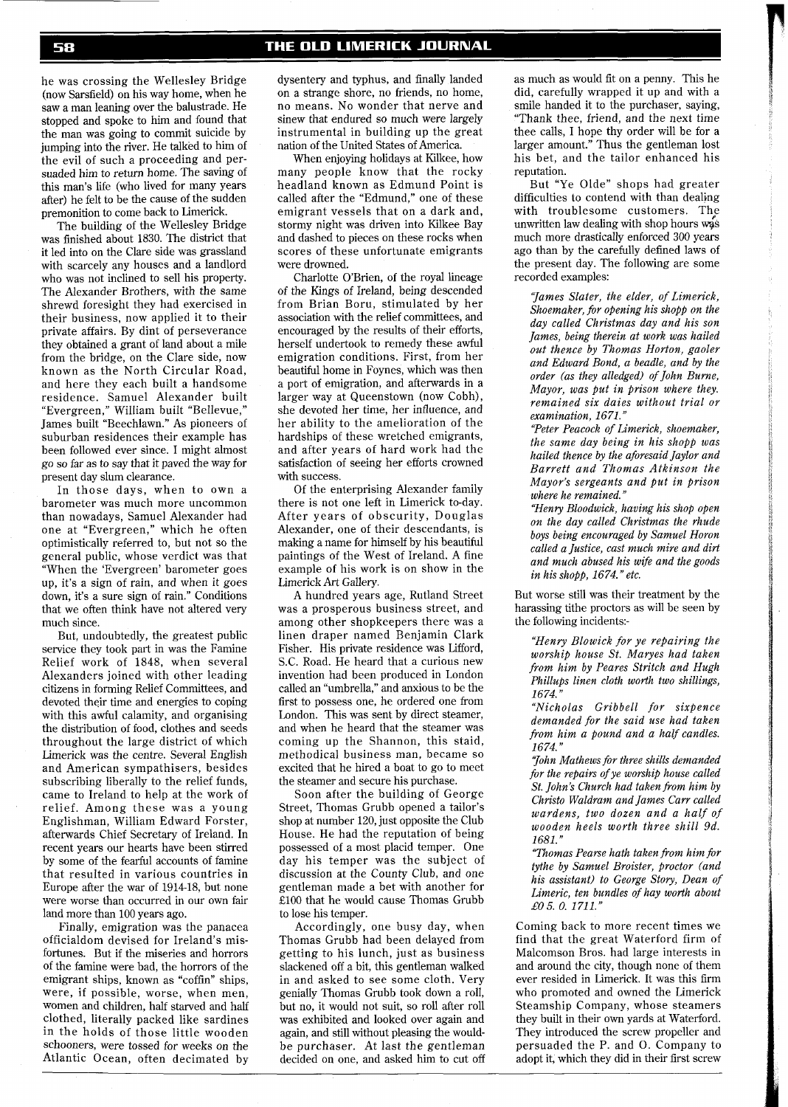he was crossing the Wellesley Bridge (now Sarsfield) on his way home, when he saw a man leaning over the balustrade. He stopped and spoke to him and found that the man was going to commit suicide by jumping into the river. He talked to him of the evil of such a proceeding and persuaded him to return home. The saving of this man's life (who lived for many years after) he felt to be the cause of the sudden premonition to come back to Limerick.

The building of the Wellesley Bridge was finished about 1830. The district that it led into on the Clare side was grassland with scarcely any houses and a landlord who was not inclined to sell his property. The Alexander Brothers, with the same shrewd foresight they had exercised in their business, now applied it to their private affairs. By dint of perseverance they obtained a grant of land about a mile from the bridge, on the Clare side, now known as the North Circular Road, and here they each built a handsome residence. Samuel Alexander built "Evergreen," William built "Bellevue," James built "Beechlawn." As pioneers of suburban residences their example has been followed ever since. I might almost go so far as to say that it paved the way for present day slum clearance.

In those days, when to own a barometer was much more uncommon than nowadays, Samuel Alexander had one at "Evergreen," which he often optimistically referred to, but not so the general public, whose verdict was that "When the 'Evergreen' barometer goes up, it's a sign of rain, and when it goes down, it's a sure sign of rain." Conditions that we often think have not altered very much since.

But, undoubtedly, the greatest public service they took part in was the Famine Relief work of 1848, when several Alexanders joined with other leading citizens in forming Relief Committees, and devoted their time and energies to coping with this awful calamity, and organising the distribution of food, clothes and seeds throughout the large district of which Limerick was the centre. Several English and American sympathisers, besides subscribing liberally to the relief funds, came to Ireland to help at the work of relief. Among these was a young Englishman, William Edward Forster, afterwards Chief Secretary of Ireland. In recent years our hearts have been stirred by some of the fearful accounts of famine that resulted in various countries in Europe after the war of 1914-18, but none were worse than occurred in our own fair land more than 100 years ago.

Finally, emigration was the panacea officialdom devised for Ireland's misfortunes. But if the miseries and horrors of the famine were bad, the horrors of the emigrant ships, known as "coffin" ships, were, if possible, worse, when men, women and children, half starved and half clothed, literally packed like sardines in the holds of those little wooden schooners, were tossed for weeks on the Atlantic Ocean, often decimated by

dysentery and typhus, and finally landed on a strange shore, no friends, no home, no means. No wonder that nerve and sinew that endured so much were largely instrumental in building up the great nation of the United States of America.

When enjoying holidays at Kilkee, how many people know that the rocky headland known as Edmund Point is called after the "Edmund," one of these emigrant vessels that on a dark and, stormy night was driven into Kilkee Bay and dashed to pieces on these rocks when scores of these unfortunate emigrants were drowned.

Charlotte O'Brien, of the royal lineage of the Kings of Ireland, being descended from Brian Boru, stimulated by her association with the relief committees, and encouraged by the results of their efforts, herself undertook to remedy these awful emigration conditions. First, from her beautiful home in Foynes, which was then a port of emigration, and afterwards in a larger way at Queenstown (now Cobh), she devoted her time, her influence, and her ability to the amelioration of the hardships of these wretched emigrants, and after years of hard work had the satisfaction of seeing her efforts crowned with success.

Of the enterprising Alexander family there is not one left in Limerick to-day. After years of obscurity, Douglas Alexander, one of their descendants, is making a name for himself by his beautiful paintings of the West of Ireland. A fine example of his work is on show in the Limerick Art Gallery.

A hundred years age, Rutland Street was a prosperous business street, and among other shopkeepers there was a linen draper named Benjamin Clark Fisher. His private residence was Lifford, S.C. Road. He heard that a curious new invention had been produced in London called an "umbrella," and anxious to be the first to possess one, he ordered one from London. This was sent by direct steamer, and when he heard that the steamer was coming up the Shannon, this staid, methodical business man, became so excited that he hired a boat to go to meet the steamer and secure his purchase.

Soon after the building of George Street, Thomas Grubb opened a tailor's shop at number 120, just opposite the Club House. He had the reputation of being possessed of a most placid temper. One day his temper was the subject of discussion at the County Club, and one gentleman made a bet with another for £100 that he would cause Thomas Grubb to lose his temper.

Accordingly, one busy day, when Thomas Grubb had been delayed from getting to his lunch, just as business slackened off a bit, this gentleman walked in and asked to see some cloth. Very genially Thomas Grubb took down a roll, but no, it would not suit, so roll after roll was exhibited and looked over again and again, and still without pleasing the wouldbe purchaser. At last the gentleman decided on one, and asked him to cut off as much as would fit on a penny. This he did, carefully wrapped it up and with a smile handed it to the purchaser, saying, "Thank thee, friend, and the next time thee calls, I hope thy order will be for a larger amount." Thus the gentleman lost his bet, and the tailor enhanced his reputation.

But "Ye Olde" shops had greater difficulties to contend with than dealing with troublesome customers. The unwritten law dealing with shop hours was much more drastically enforced 300 years ago than by the carefully defined laws of the present day. The following are some recorded examples:

*"James Slater, the elder, of limerick, Shoemaker, for opening his shopp on the day called Christmas day and his son James, being therein at work was hailed out thence by Thomas Horton, gaoler and Edward Bond, a beadle, and by the order (as they alledged) of John Burne, Mayor, was put in prison where they. remained six daies without trial or examination, 1671."* 

*"Peter Peacock of Limerick, shoemaker, the same day being in his shopp was hailed thence by the aforesaid Jaylor and Barrett and Thomas Atkinson the Mayor's sergeants and put in prison where he remained."* 

*"Henry Bloodwick, having his shop open on the day called Christmas the rhude boys being encouraged by Samuel Horon called a Justice, cast much mire and dirt and much abused his wZfe and the goods in his shopp, 1674.'' etc.* 

But worse still was their treatment by the harassing tithe proctors as will be seen by the following incidents:-

*"Henry Blowick for ye repairing the worship house St. Maryes had taken from him by Peares Stritch and Hugh Phillups linen cloth worth two shillings, 1674."* 

*"Nicholas Gribbell for sixpence demanded for the said use had taken from him a pound and a half candles. 1674.''* 

*"John Mathews for three shills demanded for the repairs of ye worship house called St. John's Church had taken from him by Christo Waldram and James Carr called wardens, two dozen and a half of wooden heels worth three shill 9d. 1681."* 

*"Thomas Pearse hath taken from him for tythe by Samuel Broister, proctor (and his assistant) to George Story, Dean of Limeric, ten bundles of hay worth about*  £05. *0. 1711."* 

Coming back to more recent times we find that the great Waterford firm of Malcomson Bros. had large interests in and around the city, though none of them ever resided in Limerick. It was this firm who promoted and owned the Limerick Steamship Company, whose steamers they built in their own yards at Waterford. They introduced the screw propeller and persuaded the P. and 0. Company to adopt it, which they did in their first screw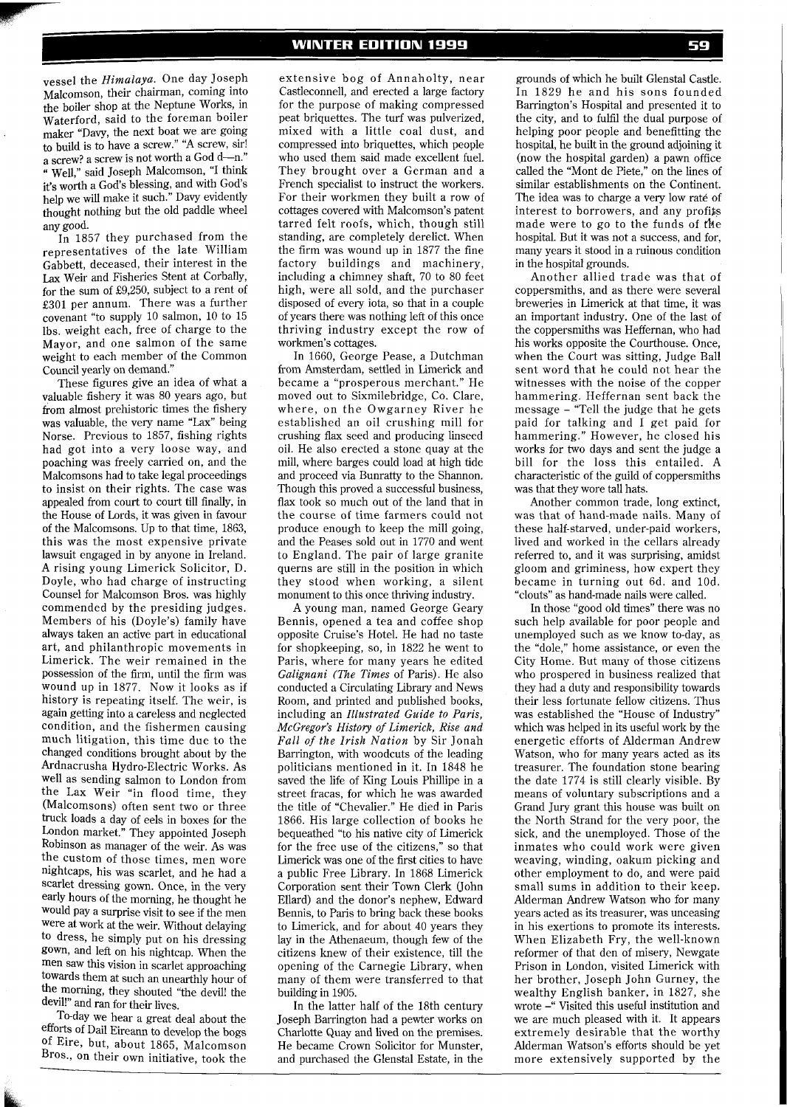vessel the *Himalaya.* One day Joseph Malcomson, their chairman, coming into the boiler shop at the Neptune Works, in Waterford, said to the foreman boiler maker "Davy, the next boat we are going to build is to have a screw." "A screw, sir! a screw? a screw is not worth a God d--n." " Well," said Joseph Malcomson, "I think it's worth a God's blessing, and with God's help we will make it such." Davy evidently thought nothing but the old paddle wheel any good.

In 1857 they purchased from the representatives of the late William Gabbett, deceased, their interest in the **Lax** Weir and Fisheries Stent at Corbally, for the sum of £9,250, subject to a rent of £301 per annum. There was a further covenant "to supply 10 salmon, 10 to 15 lbs. weight each, free of charge to the Mayor, and one salmon of the same weight to each member of the Common Council yearly on demand."

These figures give an idea of what a valuable fishery it was 80 years ago, but from almost prehistoric times the fishery was valuable, the very name "Lax" being Norse. Previous to 1857, fishing rights had got into a very loose way, and poaching was freely carried on, and the Malcomsons had to take legal proceedings to insist on their rights. The case was appealed from court to court till finally, in the House of Lords, it was given in favour of the Malcomsons. Up to that time, 1863, this was the most expensive private lawsuit engaged in by anyone in Ireland. **A** rising young Limerick Solicitor, D. Doyle, who had charge of instructing Counsel for Malcomson Bros. was highly commended by the presiding judges. Members of his (Doyle's) family have always taken an active part in educational art, and philanthropic movements in Limerick. The weir remained in the possession of the firm, until the firm was wound up in 1877. Now it looks as if history is repeating itself. The weir, is again getting into a careless and neglected condition, and the fishermen causing much litigation, this time due to the changed conditions brought about by the Ardnacrusha Hydro-Electric Works. As well as sending salmon to London from the Lax Weir "in flood time, they (Malcomsons) often sent two or three truck loads a day of eels in boxes for the London market." They appointed Joseph Robinson as manager of the weir. As was the custom of those times, men wore nightcaps, his was scarlet, and he had a scarlet dressing gown. Once, in the very early hours of the morning, he thought he would pay a surprise visit to see if the men were at work at the weir. Without delaying to dress, he simply put on his dressing gown, and left on his nightcap. When the men saw this vision in scarlet approaching towards them at such an unearthly hour of the morning, they shouted "the devil! the devil!" and ran for their lives.

To-day we hear a great deal about the efforts of Dail Eireann to develop the bogs of Eire, but, about 1865, Malcomson Bros., on their own initiative, took the

extensive bog of Annaholty, near Castleconnell, and erected a large factory for the purpose of making compressed peat briquettes. The turf was pulverized, mixed with a little coal dust, and compressed into briquettes, which people who used them said made excellent fuel. They brought over a German and a French specialist to instruct the workers. For their workmen they built a row of cottages covered with Malcomson's patent tarred felt roofs, which, though still standing, are completely derelict. When the firm was wound up in 1877 the fine factory buildings and machinery, including a chimney shaft, 70 to 80 feet high, were all sold, and the purchaser disposed of every iota, so that in a couple of years there was nothing left of this once thriving industry except the row of workmen's cottages.

In 1660, George Pease, a Dutchman from Amsterdam, settled in Limerick and became a "prosperous merchant." He moved out to Sixmilebridge, Co. Clare, where, on the Owgarney River he established an oil crushing mill for crushing flax seed and producing linseed oil. He also erected a stone quay at the mill, where barges could load at high tide and proceed via Bunratty to the Shannon. Though this proved a successful business, flax took so much out of the land that in the course of time farmers could not produce enough to keep the mill going, and the Peases sold out in 1770 and went to England. The pair of large granite querns are still in the position in which they stood when working, a silent monument to this once thriving industry.

A young man, named George Geary Bennis, opened a tea and coffee shop opposite Cruise's Hotel. He had no taste for shopkeeping, so, in 1822 he went to Paris, where for many years he edited *Galignani (The Times* of Paris). He also conducted a Circulating Library and News Room, and printed and published books, including an *Illustrated Guide to Paris, McGregor's History of Limerick, Rise and Fall of the Irish Nation* by Sir Jonah Barrington, with woodcuts of the leading politicians mentioned in it. In 1848 he saved the life of King Louis Phillipe in a street fracas, for which he was awarded the title of "Chevalier." He died in Paris 1866. His large collection of books he bequeathed "to his native city of Limerick for the free use of the citizens," so that Limerick was one of the first cities to have a public Free Library. In 1868 Limerick Corporation sent their Town Clerk (John Ellard) and the donor's nephew, Edward Bennis, to Paris to bring back these books to Limerick, and for about 40 years they lay in the Athenaeum, though few of the citizens knew of their existence, till the opening of the Carnegie Library, when many of them were transferred to that building in 1905.

In the latter half of the 18th century Joseph Barrington had a pewter works on Charlotte Quay and lived on the premises. He became Crown Solicitor for Munster, and purchased the Glenstal Estate, in the

grounds of which he built Glenstal Castle. In 1829 he and his sons founded Barrington's Hospital and presented it to the city, and to fulfil the dual purpose of helping poor people and benefitting the hospital, he built in the ground adjoining it (now the hospital garden) a pawn office called the "Mont de Piete," on the lines of similar establishments on the Continent. The idea was to charge a very low rate of interest to borrowers, and any profifs made were to go to the funds of the hospital. But it was not a success, and for, many years it stood in a ruinous condition in the hospital grounds.

Another allied trade was that of coppersmiths, and as there were several breweries in Limerick at that time, it was an important industry. One of the last of the coppersmiths was Heffernan, who had his works opposite the Courthouse. Once, when the Court was sitting, Judge Ball sent word that he could not hear the witnesses with the noise of the copper hammering. Heffernan sent back the message - "Tell the judge that he gets paid for talking and I get paid for hammering." However, he closed his works for two days and sent the judge a bill for the loss this entailed. A characteristic of the guild of coppersmiths was that they wore tall hats.

Another common trade, long extinct, was that of hand-made nails. Many of these half-starved, under-paid workers, lived and worked in the cellars already referred to, and it was surprising, amidst gloom and griminess, how expert they became in turning out 6d. and 10d. "clouts" as hand-made nails were called.

In those "good old times" there was no such help available for poor people and unemployed such as we know to-day, as the "dole," home assistance, or even the City Home. But many of those citizens who prospered in business realized that they had a duty and responsibility towards their less fortunate fellow citizens. Thus was established the "House of Industry" which was helped in its useful work by the energetic efforts of Alderman Andrew Watson, who for many years acted as its treasurer. The foundation stone bearing the date 1774 is still clearly visible. By means of voluntary subscriptions and a Grand Jury grant this house was built on the North Strand for the very poor, the sick, and the unemployed. Those of the inmates who could work were given weaving, winding, oakum picking and other employment to do, and were paid small sums in addition to their keep. Alderman Andrew Watson who for many years acted as its treasurer, was unceasing in his exertions to promote its interests. When Elizabeth Fry, the well-known reformer of that den of misery, Newgate Prison in London, visited Limerick with her brother, Joseph John Gurney, the wealthy English banker, in 1827, she wrote -" Visited this useful institution and we are much pleased with it. It appears extremely desirable that the worthy Alderman Watson's efforts should be yet more extensively supported by the